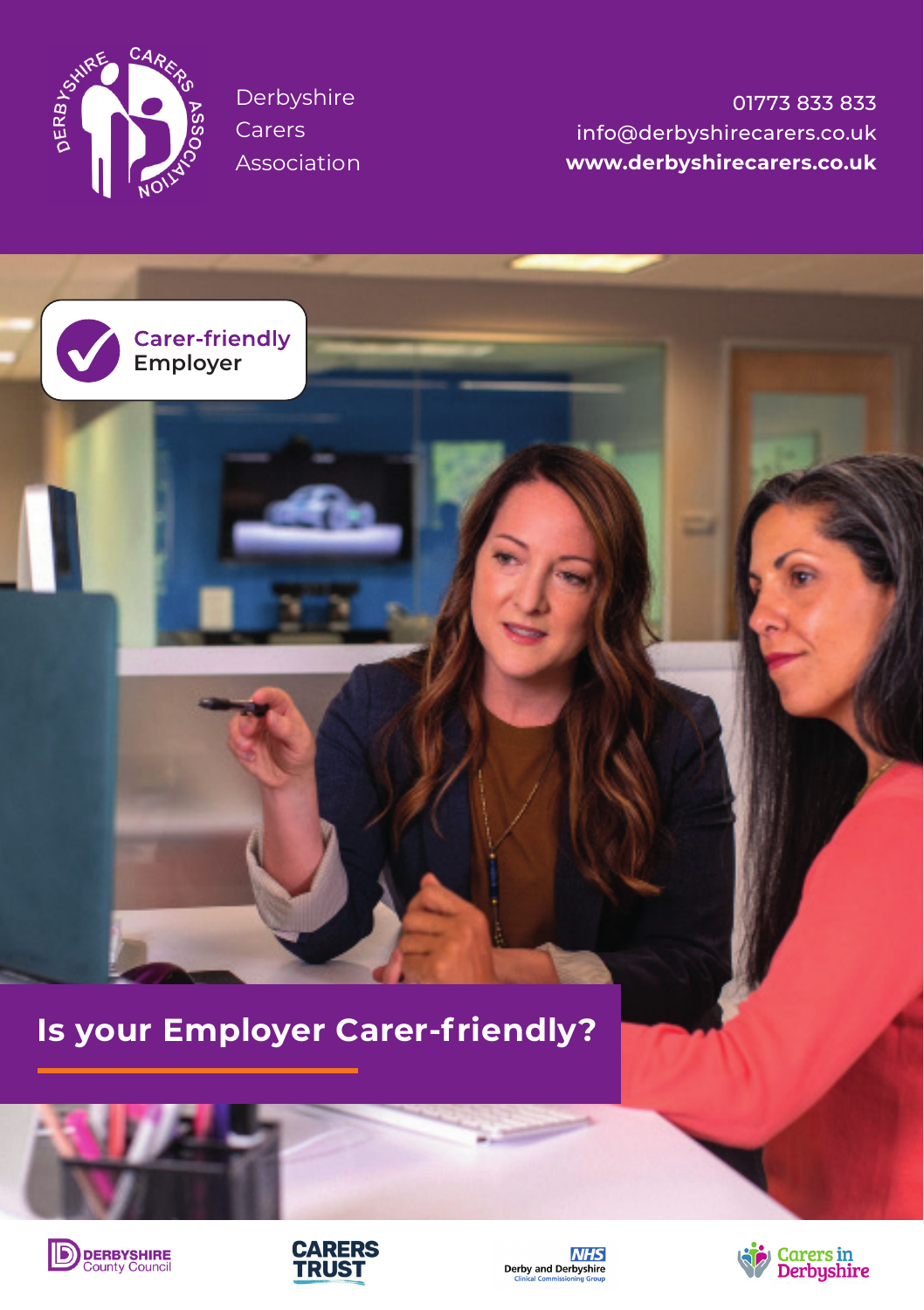

Derbyshire **Carers** Association

**Employer**

01773 833 833 info@derbyshirecarers.co.uk **www.derbyshirecarers.co.uk**

**Is your Employer Carer-friendly?**







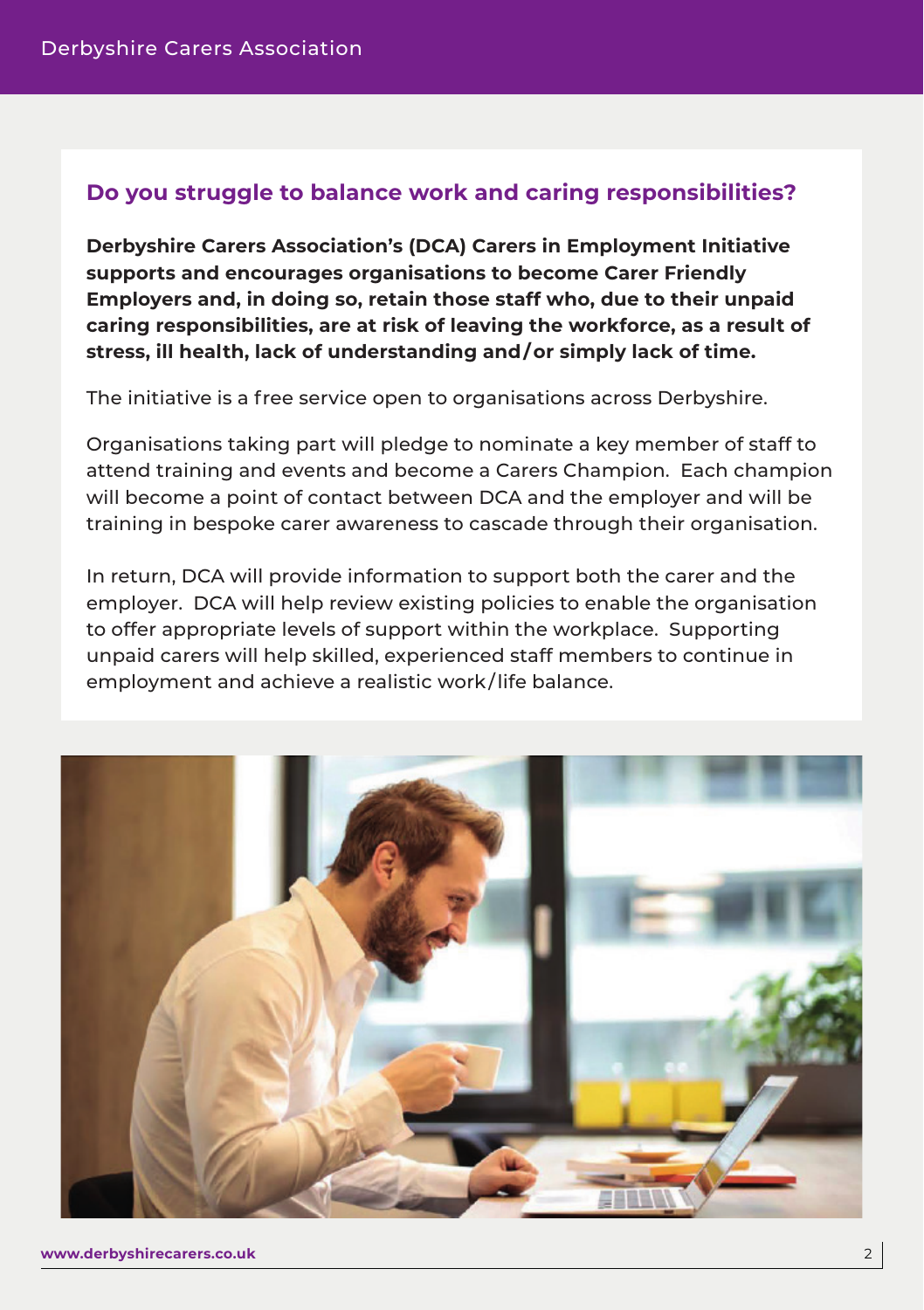## **Do you struggle to balance work and caring responsibilities?**

**Derbyshire Carers Association's (DCA) Carers in Employment Initiative supports and encourages organisations to become Carer Friendly Employers and, in doing so, retain those staff who, due to their unpaid caring responsibilities, are at risk of leaving the workforce, as a result of stress, ill health, lack of understanding and/or simply lack of time.**

The initiative is a free service open to organisations across Derbyshire.

Organisations taking part will pledge to nominate a key member of staff to attend training and events and become a Carers Champion. Each champion will become a point of contact between DCA and the employer and will be training in bespoke carer awareness to cascade through their organisation.

In return, DCA will provide information to support both the carer and the employer. DCA will help review existing policies to enable the organisation to offer appropriate levels of support within the workplace. Supporting unpaid carers will help skilled, experienced staff members to continue in employment and achieve a realistic work / life balance.

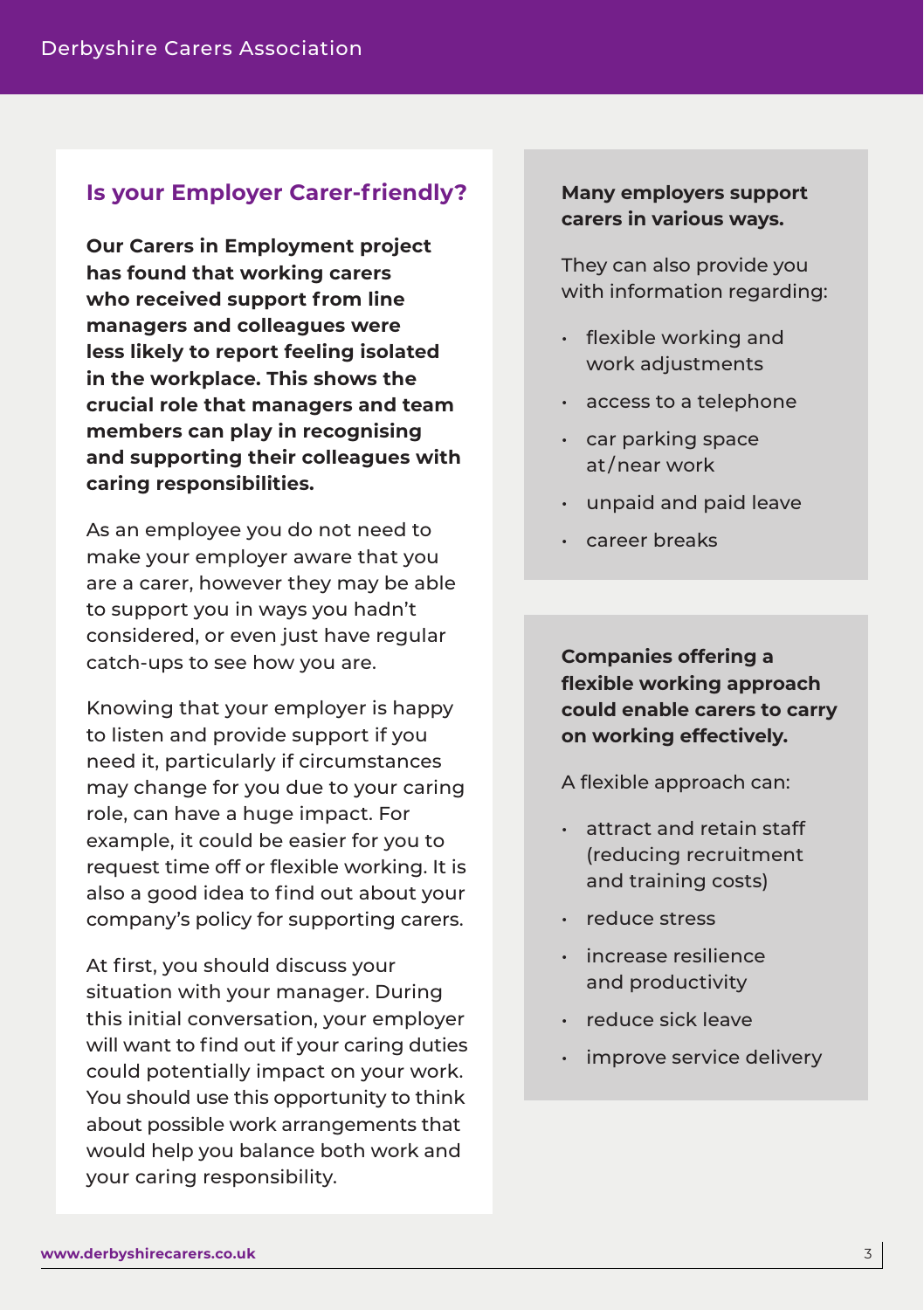## **Is your Employer Carer-friendly?**

**Our Carers in Employment project has found that working carers who received support from line managers and colleagues were less likely to report feeling isolated in the workplace. This shows the crucial role that managers and team members can play in recognising and supporting their colleagues with caring responsibilities.** 

As an employee you do not need to make your employer aware that you are a carer, however they may be able to support you in ways you hadn't considered, or even just have regular catch-ups to see how you are.

Knowing that your employer is happy to listen and provide support if you need it, particularly if circumstances may change for you due to your caring role, can have a huge impact. For example, it could be easier for you to request time off or flexible working. It is also a good idea to find out about your company's policy for supporting carers.

At first, you should discuss your situation with your manager. During this initial conversation, your employer will want to find out if your caring duties could potentially impact on your work. You should use this opportunity to think about possible work arrangements that would help you balance both work and your caring responsibility.

## **Many employers support carers in various ways.**

They can also provide you with information regarding:

- flexible working and work adjustments
- access to a telephone
- car parking space at / near work
- unpaid and paid leave
- career breaks

**Companies offering a flexible working approach could enable carers to carry on working effectively.** 

A flexible approach can:

- attract and retain staff (reducing recruitment and training costs)
- reduce stress
- increase resilience and productivity
- reduce sick leave
- improve service delivery